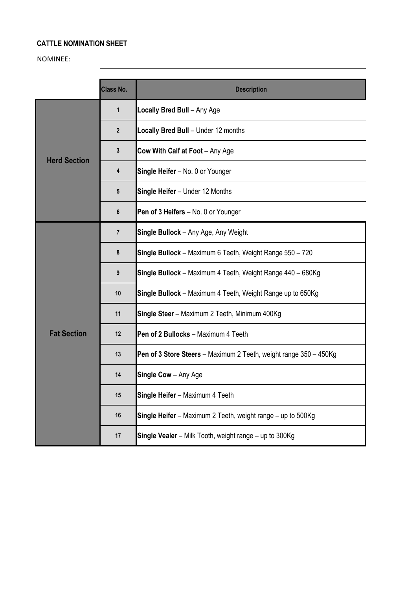## **CATTLE NOMINATION SHEET**

## NOMINEE:

|                     | <b>Class No.</b> | <b>Description</b>                                                |
|---------------------|------------------|-------------------------------------------------------------------|
| <b>Herd Section</b> | $\mathbf{1}$     | Locally Bred Bull - Any Age                                       |
|                     | $\overline{2}$   | Locally Bred Bull - Under 12 months                               |
|                     | 3                | Cow With Calf at Foot - Any Age                                   |
|                     | 4                | Single Heifer - No. 0 or Younger                                  |
|                     | 5                | Single Heifer - Under 12 Months                                   |
|                     | 6                | Pen of 3 Heifers - No. 0 or Younger                               |
| <b>Fat Section</b>  | $\overline{7}$   | Single Bullock - Any Age, Any Weight                              |
|                     | 8                | Single Bullock - Maximum 6 Teeth, Weight Range 550 - 720          |
|                     | 9                | Single Bullock - Maximum 4 Teeth, Weight Range 440 - 680Kg        |
|                     | 10               | Single Bullock - Maximum 4 Teeth, Weight Range up to 650Kg        |
|                     | 11               | Single Steer - Maximum 2 Teeth, Minimum 400Kg                     |
|                     | 12               | Pen of 2 Bullocks - Maximum 4 Teeth                               |
|                     | 13               | Pen of 3 Store Steers - Maximum 2 Teeth, weight range 350 - 450Kg |
|                     | 14               | Single Cow - Any Age                                              |
|                     | 15               | Single Heifer - Maximum 4 Teeth                                   |
|                     | 16               | Single Heifer - Maximum 2 Teeth, weight range - up to 500Kg       |
|                     | 17               | Single Vealer - Milk Tooth, weight range - up to 300Kg            |